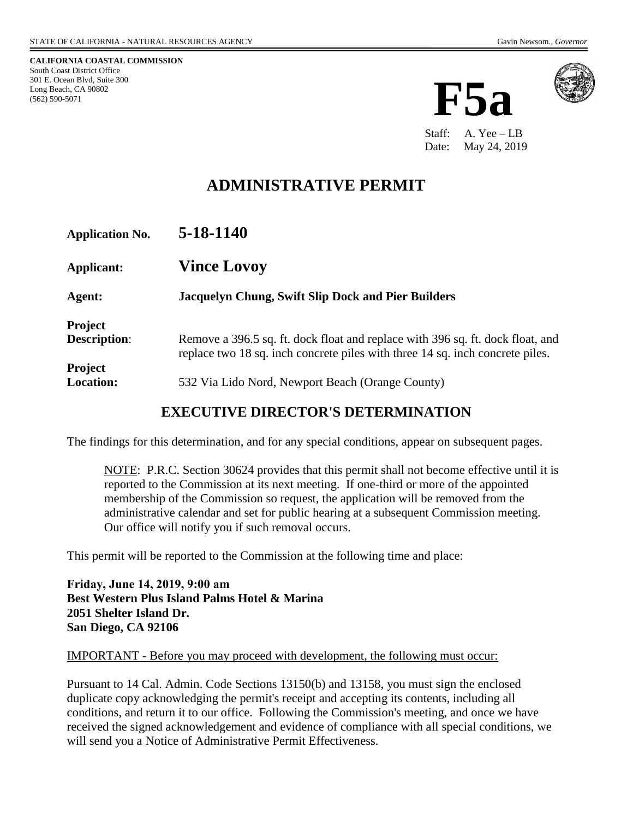**CALIFORNIA COASTAL COMMISSION** South Coast District Office 301 E. Ocean Blvd, Suite 300 Long Beach, CA 90802 (562) 590-5071





Staff: A. Yee – LB Date: May 24, 2019

# **ADMINISTRATIVE PERMIT**

| <b>Application No.</b>                | 5-18-1140                                                                                                                                                       |
|---------------------------------------|-----------------------------------------------------------------------------------------------------------------------------------------------------------------|
| Applicant:                            | <b>Vince Lovoy</b>                                                                                                                                              |
| Agent:                                | <b>Jacquelyn Chung, Swift Slip Dock and Pier Builders</b>                                                                                                       |
| <b>Project</b><br><b>Description:</b> | Remove a 396.5 sq. ft. dock float and replace with 396 sq. ft. dock float, and<br>replace two 18 sq. inch concrete piles with three 14 sq. inch concrete piles. |
| <b>Project</b><br><b>Location:</b>    | 532 Via Lido Nord, Newport Beach (Orange County)                                                                                                                |

### **EXECUTIVE DIRECTOR'S DETERMINATION**

The findings for this determination, and for any special conditions, appear on subsequent pages.

NOTE: P.R.C. Section 30624 provides that this permit shall not become effective until it is reported to the Commission at its next meeting. If one-third or more of the appointed membership of the Commission so request, the application will be removed from the administrative calendar and set for public hearing at a subsequent Commission meeting. Our office will notify you if such removal occurs.

This permit will be reported to the Commission at the following time and place:

**Friday, June 14, 2019, 9:00 am Best Western Plus Island Palms Hotel & Marina 2051 Shelter Island Dr. San Diego, CA 92106**

#### IMPORTANT - Before you may proceed with development, the following must occur:

Pursuant to 14 Cal. Admin. Code Sections 13150(b) and 13158, you must sign the enclosed duplicate copy acknowledging the permit's receipt and accepting its contents, including all conditions, and return it to our office. Following the Commission's meeting, and once we have received the signed acknowledgement and evidence of compliance with all special conditions, we will send you a Notice of Administrative Permit Effectiveness.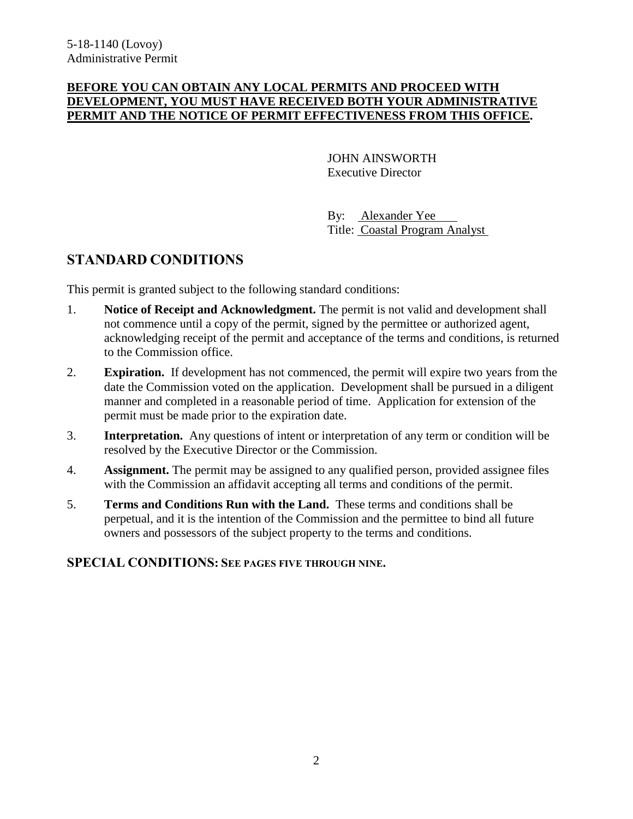### **BEFORE YOU CAN OBTAIN ANY LOCAL PERMITS AND PROCEED WITH DEVELOPMENT, YOU MUST HAVE RECEIVED BOTH YOUR ADMINISTRATIVE PERMIT AND THE NOTICE OF PERMIT EFFECTIVENESS FROM THIS OFFICE.**

JOHN AINSWORTH Executive Director

By: Alexander Yee Title: Coastal Program Analyst

## **STANDARD CONDITIONS**

This permit is granted subject to the following standard conditions:

- 1. **Notice of Receipt and Acknowledgment.** The permit is not valid and development shall not commence until a copy of the permit, signed by the permittee or authorized agent, acknowledging receipt of the permit and acceptance of the terms and conditions, is returned to the Commission office.
- 2. **Expiration.** If development has not commenced, the permit will expire two years from the date the Commission voted on the application. Development shall be pursued in a diligent manner and completed in a reasonable period of time. Application for extension of the permit must be made prior to the expiration date.
- 3. **Interpretation.** Any questions of intent or interpretation of any term or condition will be resolved by the Executive Director or the Commission.
- 4. **Assignment.** The permit may be assigned to any qualified person, provided assignee files with the Commission an affidavit accepting all terms and conditions of the permit.
- 5. **Terms and Conditions Run with the Land.** These terms and conditions shall be perpetual, and it is the intention of the Commission and the permittee to bind all future owners and possessors of the subject property to the terms and conditions.

### **SPECIAL CONDITIONS: SEE PAGES FIVE THROUGH NINE.**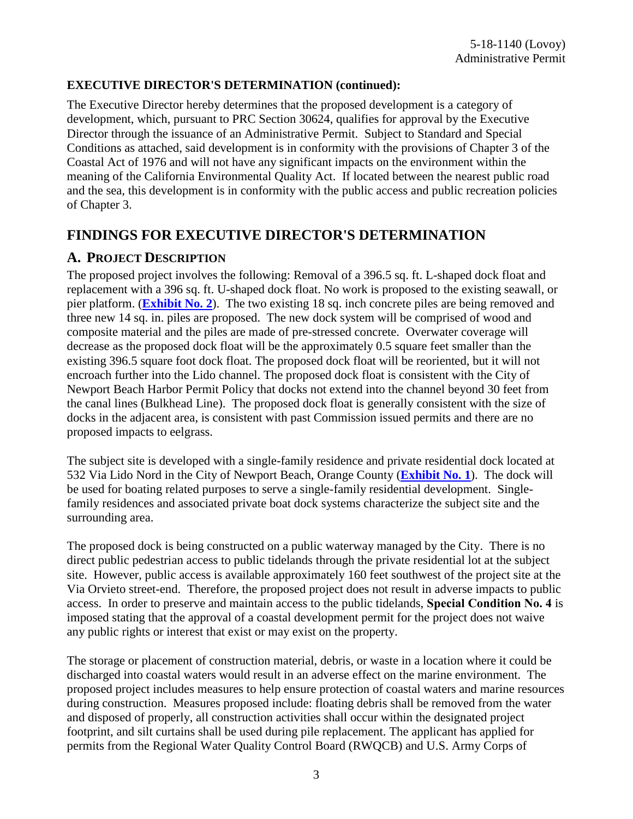### **EXECUTIVE DIRECTOR'S DETERMINATION (continued):**

The Executive Director hereby determines that the proposed development is a category of development, which, pursuant to PRC Section 30624, qualifies for approval by the Executive Director through the issuance of an Administrative Permit. Subject to Standard and Special Conditions as attached, said development is in conformity with the provisions of Chapter 3 of the Coastal Act of 1976 and will not have any significant impacts on the environment within the meaning of the California Environmental Quality Act. If located between the nearest public road and the sea, this development is in conformity with the public access and public recreation policies of Chapter 3.

## **FINDINGS FOR EXECUTIVE DIRECTOR'S DETERMINATION**

### **A. PROJECT DESCRIPTION**

The proposed project involves the following: Removal of a 396.5 sq. ft. L-shaped dock float and replacement with a 396 sq. ft. U-shaped dock float. No work is proposed to the existing seawall, or pier platform. (**[Exhibit No. 2](https://documents.coastal.ca.gov/reports/2019/6/F5a/F5a-6-2019-exhibits.pdf)**). The two existing 18 sq. inch concrete piles are being removed and three new 14 sq. in. piles are proposed. The new dock system will be comprised of wood and composite material and the piles are made of pre-stressed concrete. Overwater coverage will decrease as the proposed dock float will be the approximately 0.5 square feet smaller than the existing 396.5 square foot dock float. The proposed dock float will be reoriented, but it will not encroach further into the Lido channel. The proposed dock float is consistent with the City of Newport Beach Harbor Permit Policy that docks not extend into the channel beyond 30 feet from the canal lines (Bulkhead Line). The proposed dock float is generally consistent with the size of docks in the adjacent area, is consistent with past Commission issued permits and there are no proposed impacts to eelgrass.

The subject site is developed with a single-family residence and private residential dock located at 532 Via Lido Nord in the City of Newport Beach, Orange County (**[Exhibit No. 1](https://documents.coastal.ca.gov/reports/2019/6/F5a/F5a-6-2019-exhibits.pdf)**). The dock will be used for boating related purposes to serve a single-family residential development. Singlefamily residences and associated private boat dock systems characterize the subject site and the surrounding area.

The proposed dock is being constructed on a public waterway managed by the City. There is no direct public pedestrian access to public tidelands through the private residential lot at the subject site. However, public access is available approximately 160 feet southwest of the project site at the Via Orvieto street-end. Therefore, the proposed project does not result in adverse impacts to public access. In order to preserve and maintain access to the public tidelands, **Special Condition No. 4** is imposed stating that the approval of a coastal development permit for the project does not waive any public rights or interest that exist or may exist on the property.

The storage or placement of construction material, debris, or waste in a location where it could be discharged into coastal waters would result in an adverse effect on the marine environment. The proposed project includes measures to help ensure protection of coastal waters and marine resources during construction. Measures proposed include: floating debris shall be removed from the water and disposed of properly, all construction activities shall occur within the designated project footprint, and silt curtains shall be used during pile replacement. The applicant has applied for permits from the Regional Water Quality Control Board (RWQCB) and U.S. Army Corps of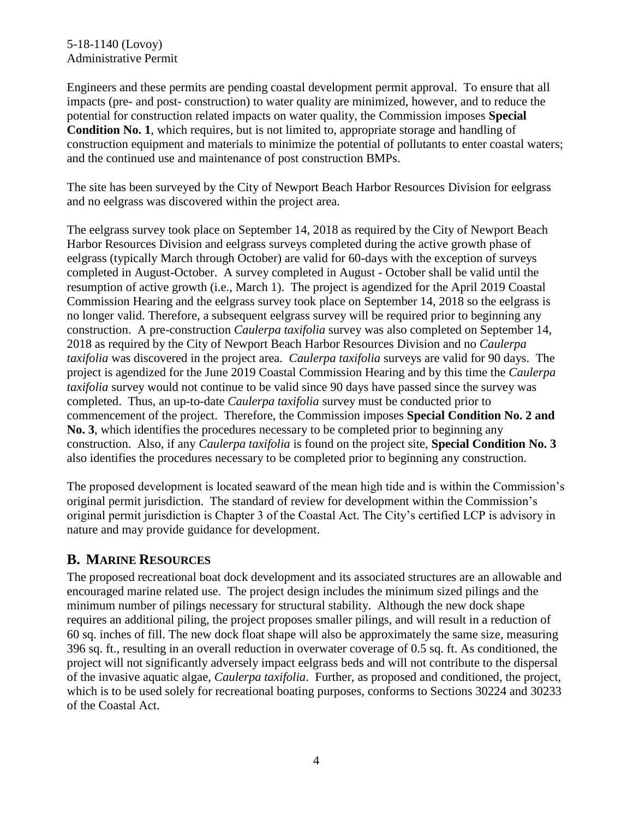### 5-18-1140 (Lovoy) Administrative Permit

Engineers and these permits are pending coastal development permit approval. To ensure that all impacts (pre- and post- construction) to water quality are minimized, however, and to reduce the potential for construction related impacts on water quality, the Commission imposes **Special Condition No. 1**, which requires, but is not limited to, appropriate storage and handling of construction equipment and materials to minimize the potential of pollutants to enter coastal waters; and the continued use and maintenance of post construction BMPs.

The site has been surveyed by the City of Newport Beach Harbor Resources Division for eelgrass and no eelgrass was discovered within the project area.

The eelgrass survey took place on September 14, 2018 as required by the City of Newport Beach Harbor Resources Division and eelgrass surveys completed during the active growth phase of eelgrass (typically March through October) are valid for 60-days with the exception of surveys completed in August-October. A survey completed in August - October shall be valid until the resumption of active growth (i.e., March 1). The project is agendized for the April 2019 Coastal Commission Hearing and the eelgrass survey took place on September 14, 2018 so the eelgrass is no longer valid. Therefore, a subsequent eelgrass survey will be required prior to beginning any construction. A pre-construction *Caulerpa taxifolia* survey was also completed on September 14, 2018 as required by the City of Newport Beach Harbor Resources Division and no *Caulerpa taxifolia* was discovered in the project area. *Caulerpa taxifolia* surveys are valid for 90 days. The project is agendized for the June 2019 Coastal Commission Hearing and by this time the *Caulerpa taxifolia* survey would not continue to be valid since 90 days have passed since the survey was completed. Thus, an up-to-date *Caulerpa taxifolia* survey must be conducted prior to commencement of the project. Therefore, the Commission imposes **Special Condition No. 2 and No. 3**, which identifies the procedures necessary to be completed prior to beginning any construction. Also, if any *Caulerpa taxifolia* is found on the project site, **Special Condition No. 3** also identifies the procedures necessary to be completed prior to beginning any construction.

The proposed development is located seaward of the mean high tide and is within the Commission's original permit jurisdiction. The standard of review for development within the Commission's original permit jurisdiction is Chapter 3 of the Coastal Act. The City's certified LCP is advisory in nature and may provide guidance for development.

## **B. MARINE RESOURCES**

The proposed recreational boat dock development and its associated structures are an allowable and encouraged marine related use. The project design includes the minimum sized pilings and the minimum number of pilings necessary for structural stability. Although the new dock shape requires an additional piling, the project proposes smaller pilings, and will result in a reduction of 60 sq. inches of fill. The new dock float shape will also be approximately the same size, measuring 396 sq. ft., resulting in an overall reduction in overwater coverage of 0.5 sq. ft. As conditioned, the project will not significantly adversely impact eelgrass beds and will not contribute to the dispersal of the invasive aquatic algae, *Caulerpa taxifolia*. Further, as proposed and conditioned, the project, which is to be used solely for recreational boating purposes, conforms to Sections 30224 and 30233 of the Coastal Act.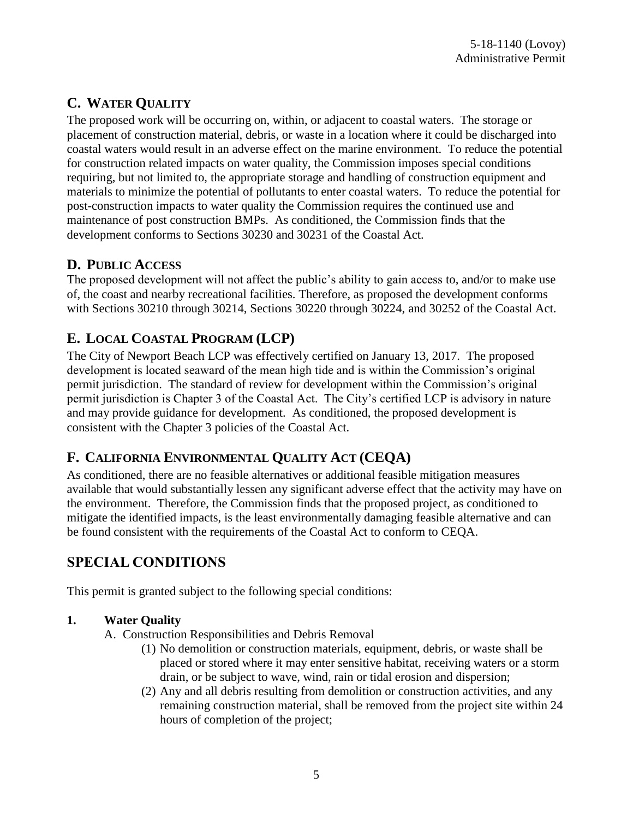# **C. WATER QUALITY**

The proposed work will be occurring on, within, or adjacent to coastal waters. The storage or placement of construction material, debris, or waste in a location where it could be discharged into coastal waters would result in an adverse effect on the marine environment. To reduce the potential for construction related impacts on water quality, the Commission imposes special conditions requiring, but not limited to, the appropriate storage and handling of construction equipment and materials to minimize the potential of pollutants to enter coastal waters. To reduce the potential for post-construction impacts to water quality the Commission requires the continued use and maintenance of post construction BMPs. As conditioned, the Commission finds that the development conforms to Sections 30230 and 30231 of the Coastal Act.

## **D. PUBLIC ACCESS**

The proposed development will not affect the public's ability to gain access to, and/or to make use of, the coast and nearby recreational facilities. Therefore, as proposed the development conforms with Sections 30210 through 30214, Sections 30220 through 30224, and 30252 of the Coastal Act.

# **E. LOCAL COASTAL PROGRAM (LCP)**

The City of Newport Beach LCP was effectively certified on January 13, 2017. The proposed development is located seaward of the mean high tide and is within the Commission's original permit jurisdiction. The standard of review for development within the Commission's original permit jurisdiction is Chapter 3 of the Coastal Act. The City's certified LCP is advisory in nature and may provide guidance for development. As conditioned, the proposed development is consistent with the Chapter 3 policies of the Coastal Act.

## **F. CALIFORNIA ENVIRONMENTAL QUALITY ACT (CEQA)**

As conditioned, there are no feasible alternatives or additional feasible mitigation measures available that would substantially lessen any significant adverse effect that the activity may have on the environment. Therefore, the Commission finds that the proposed project, as conditioned to mitigate the identified impacts, is the least environmentally damaging feasible alternative and can be found consistent with the requirements of the Coastal Act to conform to CEQA.

# **SPECIAL CONDITIONS**

This permit is granted subject to the following special conditions:

## **1. Water Quality**

- A. Construction Responsibilities and Debris Removal
	- (1) No demolition or construction materials, equipment, debris, or waste shall be placed or stored where it may enter sensitive habitat, receiving waters or a storm drain, or be subject to wave, wind, rain or tidal erosion and dispersion;
	- (2) Any and all debris resulting from demolition or construction activities, and any remaining construction material, shall be removed from the project site within 24 hours of completion of the project;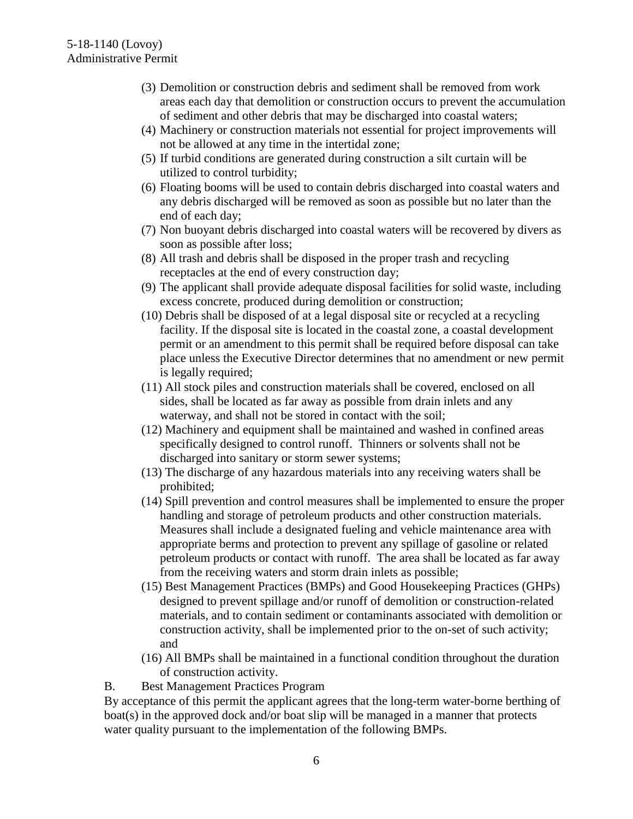- (3) Demolition or construction debris and sediment shall be removed from work areas each day that demolition or construction occurs to prevent the accumulation of sediment and other debris that may be discharged into coastal waters;
- (4) Machinery or construction materials not essential for project improvements will not be allowed at any time in the intertidal zone;
- (5) If turbid conditions are generated during construction a silt curtain will be utilized to control turbidity;
- (6) Floating booms will be used to contain debris discharged into coastal waters and any debris discharged will be removed as soon as possible but no later than the end of each day;
- (7) Non buoyant debris discharged into coastal waters will be recovered by divers as soon as possible after loss;
- (8) All trash and debris shall be disposed in the proper trash and recycling receptacles at the end of every construction day;
- (9) The applicant shall provide adequate disposal facilities for solid waste, including excess concrete, produced during demolition or construction;
- (10) Debris shall be disposed of at a legal disposal site or recycled at a recycling facility. If the disposal site is located in the coastal zone, a coastal development permit or an amendment to this permit shall be required before disposal can take place unless the Executive Director determines that no amendment or new permit is legally required;
- (11) All stock piles and construction materials shall be covered, enclosed on all sides, shall be located as far away as possible from drain inlets and any waterway, and shall not be stored in contact with the soil;
- (12) Machinery and equipment shall be maintained and washed in confined areas specifically designed to control runoff. Thinners or solvents shall not be discharged into sanitary or storm sewer systems;
- (13) The discharge of any hazardous materials into any receiving waters shall be prohibited;
- (14) Spill prevention and control measures shall be implemented to ensure the proper handling and storage of petroleum products and other construction materials. Measures shall include a designated fueling and vehicle maintenance area with appropriate berms and protection to prevent any spillage of gasoline or related petroleum products or contact with runoff. The area shall be located as far away from the receiving waters and storm drain inlets as possible;
- (15) Best Management Practices (BMPs) and Good Housekeeping Practices (GHPs) designed to prevent spillage and/or runoff of demolition or construction-related materials, and to contain sediment or contaminants associated with demolition or construction activity, shall be implemented prior to the on-set of such activity; and
- (16) All BMPs shall be maintained in a functional condition throughout the duration of construction activity.
- B. Best Management Practices Program

By acceptance of this permit the applicant agrees that the long-term water-borne berthing of boat(s) in the approved dock and/or boat slip will be managed in a manner that protects water quality pursuant to the implementation of the following BMPs.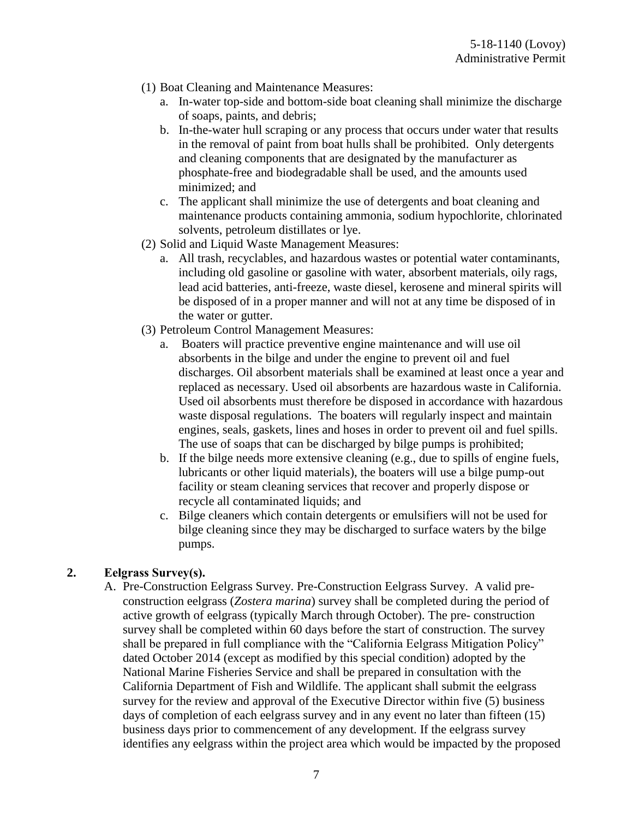- (1) Boat Cleaning and Maintenance Measures:
	- a. In-water top-side and bottom-side boat cleaning shall minimize the discharge of soaps, paints, and debris;
	- b. In-the-water hull scraping or any process that occurs under water that results in the removal of paint from boat hulls shall be prohibited. Only detergents and cleaning components that are designated by the manufacturer as phosphate-free and biodegradable shall be used, and the amounts used minimized; and
	- c. The applicant shall minimize the use of detergents and boat cleaning and maintenance products containing ammonia, sodium hypochlorite, chlorinated solvents, petroleum distillates or lye.
- (2) Solid and Liquid Waste Management Measures:
	- a. All trash, recyclables, and hazardous wastes or potential water contaminants, including old gasoline or gasoline with water, absorbent materials, oily rags, lead acid batteries, anti-freeze, waste diesel, kerosene and mineral spirits will be disposed of in a proper manner and will not at any time be disposed of in the water or gutter.
- (3) Petroleum Control Management Measures:
	- a. Boaters will practice preventive engine maintenance and will use oil absorbents in the bilge and under the engine to prevent oil and fuel discharges. Oil absorbent materials shall be examined at least once a year and replaced as necessary. Used oil absorbents are hazardous waste in California. Used oil absorbents must therefore be disposed in accordance with hazardous waste disposal regulations. The boaters will regularly inspect and maintain engines, seals, gaskets, lines and hoses in order to prevent oil and fuel spills. The use of soaps that can be discharged by bilge pumps is prohibited;
	- b. If the bilge needs more extensive cleaning (e.g., due to spills of engine fuels, lubricants or other liquid materials), the boaters will use a bilge pump-out facility or steam cleaning services that recover and properly dispose or recycle all contaminated liquids; and
	- c. Bilge cleaners which contain detergents or emulsifiers will not be used for bilge cleaning since they may be discharged to surface waters by the bilge pumps.

### **2. Eelgrass Survey(s).**

A. Pre-Construction Eelgrass Survey. Pre-Construction Eelgrass Survey. A valid preconstruction eelgrass (*Zostera marina*) survey shall be completed during the period of active growth of eelgrass (typically March through October). The pre- construction survey shall be completed within 60 days before the start of construction. The survey shall be prepared in full compliance with the "California Eelgrass Mitigation Policy" dated October 2014 (except as modified by this special condition) adopted by the National Marine Fisheries Service and shall be prepared in consultation with the California Department of Fish and Wildlife. The applicant shall submit the eelgrass survey for the review and approval of the Executive Director within five (5) business days of completion of each eelgrass survey and in any event no later than fifteen (15) business days prior to commencement of any development. If the eelgrass survey identifies any eelgrass within the project area which would be impacted by the proposed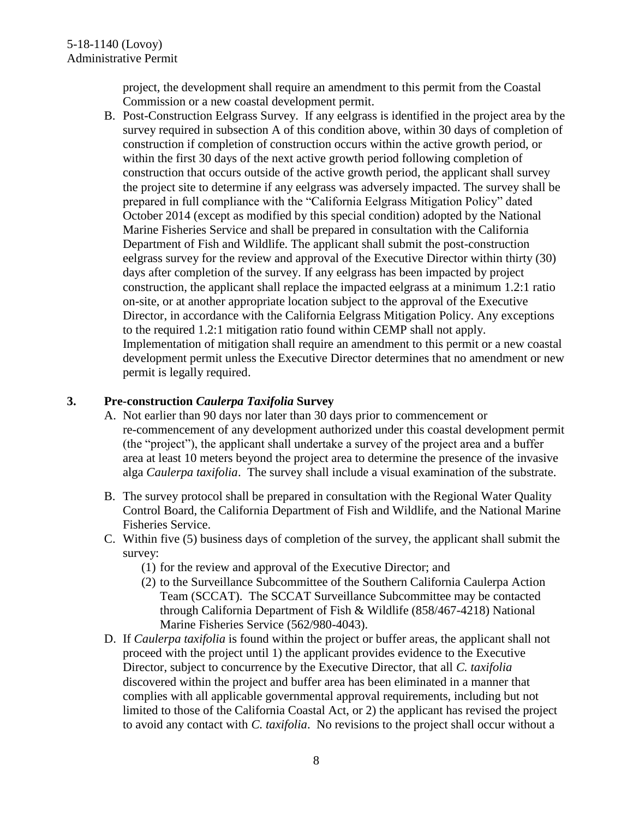project, the development shall require an amendment to this permit from the Coastal Commission or a new coastal development permit.

B. Post-Construction Eelgrass Survey. If any eelgrass is identified in the project area by the survey required in subsection A of this condition above, within 30 days of completion of construction if completion of construction occurs within the active growth period, or within the first 30 days of the next active growth period following completion of construction that occurs outside of the active growth period, the applicant shall survey the project site to determine if any eelgrass was adversely impacted. The survey shall be prepared in full compliance with the "California Eelgrass Mitigation Policy" dated October 2014 (except as modified by this special condition) adopted by the National Marine Fisheries Service and shall be prepared in consultation with the California Department of Fish and Wildlife. The applicant shall submit the post-construction eelgrass survey for the review and approval of the Executive Director within thirty (30) days after completion of the survey. If any eelgrass has been impacted by project construction, the applicant shall replace the impacted eelgrass at a minimum 1.2:1 ratio on-site, or at another appropriate location subject to the approval of the Executive Director, in accordance with the California Eelgrass Mitigation Policy. Any exceptions to the required 1.2:1 mitigation ratio found within CEMP shall not apply. Implementation of mitigation shall require an amendment to this permit or a new coastal development permit unless the Executive Director determines that no amendment or new permit is legally required.

### **3. Pre-construction** *Caulerpa Taxifolia* **Survey**

- A. Not earlier than 90 days nor later than 30 days prior to commencement or re-commencement of any development authorized under this coastal development permit (the "project"), the applicant shall undertake a survey of the project area and a buffer area at least 10 meters beyond the project area to determine the presence of the invasive alga *Caulerpa taxifolia*. The survey shall include a visual examination of the substrate.
- B. The survey protocol shall be prepared in consultation with the Regional Water Quality Control Board, the California Department of Fish and Wildlife, and the National Marine Fisheries Service.
- C. Within five (5) business days of completion of the survey, the applicant shall submit the survey:
	- (1) for the review and approval of the Executive Director; and
	- (2) to the Surveillance Subcommittee of the Southern California Caulerpa Action Team (SCCAT). The SCCAT Surveillance Subcommittee may be contacted through California Department of Fish & Wildlife (858/467-4218) National Marine Fisheries Service (562/980-4043).
- D. If *Caulerpa taxifolia* is found within the project or buffer areas, the applicant shall not proceed with the project until 1) the applicant provides evidence to the Executive Director, subject to concurrence by the Executive Director, that all *C. taxifolia* discovered within the project and buffer area has been eliminated in a manner that complies with all applicable governmental approval requirements, including but not limited to those of the California Coastal Act, or 2) the applicant has revised the project to avoid any contact with *C. taxifolia*. No revisions to the project shall occur without a